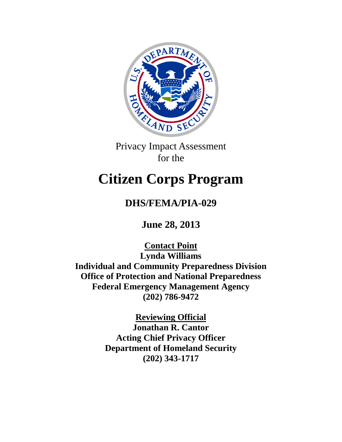

Privacy Impact Assessment for the

# **Citizen Corps Program**

## **DHS/FEMA/PIA-029**

**June 28, 2013**

**Contact Point Lynda Williams Individual and Community Preparedness Division Office of Protection and National Preparedness Federal Emergency Management Agency (202) 786-9472**

> **Reviewing Official Jonathan R. Cantor Acting Chief Privacy Officer Department of Homeland Security (202) 343-1717**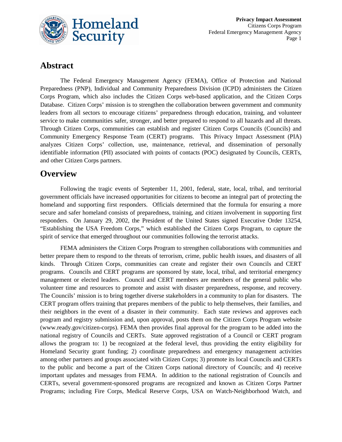

### **Abstract**

The Federal Emergency Management Agency (FEMA), Office of Protection and National Preparedness (PNP), Individual and Community Preparedness Division (ICPD) administers the Citizen Corps Program, which also includes the Citizen Corps web-based application, and the Citizen Corps Database. Citizen Corps' mission is to strengthen the collaboration between government and community leaders from all sectors to encourage citizens' preparedness through education, training, and volunteer service to make communities safer, stronger, and better prepared to respond to all hazards and all threats. Through Citizen Corps, communities can establish and register Citizen Corps Councils (Councils) and Community Emergency Response Team (CERT) programs. This Privacy Impact Assessment (PIA) analyzes Citizen Corps' collection, use, maintenance, retrieval, and dissemination of personally identifiable information (PII) associated with points of contacts (POC) designated by Councils, CERTs, and other Citizen Corps partners.

### **Overview**

Following the tragic events of September 11, 2001, federal, state, local, tribal, and territorial government officials have increased opportunities for citizens to become an integral part of protecting the homeland and supporting first responders. Officials determined that the formula for ensuring a more secure and safer homeland consists of preparedness, training, and citizen involvement in supporting first responders. On January 29, 2002, the President of the United States signed Executive Order 13254, "Establishing the USA Freedom Corps," which established the Citizen Corps Program, to capture the spirit of service that emerged throughout our communities following the terrorist attacks.

FEMA administers the Citizen Corps Program to strengthen collaborations with communities and better prepare them to respond to the threats of terrorism, crime, public health issues, and disasters of all kinds. Through Citizen Corps, communities can create and register their own Councils and CERT programs. Councils and CERT programs are sponsored by state, local, tribal, and territorial emergency management or elected leaders. Council and CERT members are members of the general public who volunteer time and resources to promote and assist with disaster preparedness, response, and recovery. The Councils' mission is to bring together diverse stakeholders in a community to plan for disasters. The CERT program offers training that prepares members of the public to help themselves, their families, and their neighbors in the event of a disaster in their community. Each state reviews and approves each program and registry submission and, upon approval, posts them on the Citizen Corps Program website (www.ready.gov/citizen-corps). FEMA then provides final approval for the program to be added into the national registry of Councils and CERTs. State approved registration of a Council or CERT program allows the program to: 1) be recognized at the federal level, thus providing the entity eligibility for Homeland Security grant funding; 2) coordinate preparedness and emergency management activities among other partners and groups associated with Citizen Corps; 3) promote its local Councils and CERTs to the public and become a part of the Citizen Corps national directory of Councils; and 4) receive important updates and messages from FEMA. In addition to the national registration of Councils and CERTs, several government-sponsored programs are recognized and known as Citizen Corps Partner Programs; including Fire Corps, Medical Reserve Corps, USA on Watch-Neighborhood Watch, and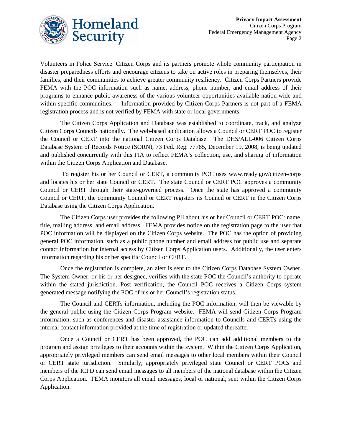

Volunteers in Police Service. Citizen Corps and its partners promote whole community participation in disaster preparedness efforts and encourage citizens to take on active roles in preparing themselves, their families, and their communities to achieve greater community resiliency. Citizen Corps Partners provide FEMA with the POC information such as name, address, phone number, and email address of their programs to enhance public awareness of the various volunteer opportunities available nation-wide and within specific communities. Information provided by Citizen Corps Partners is not part of a FEMA registration process and is not verified by FEMA with state or local governments.

The Citizen Corps Application and Database was established to coordinate, track, and analyze Citizen Corps Councils nationally. The web-based application allows a Council or CERT POC to register the Council or CERT into the national Citizen Corps Database. The DHS/ALL-006 Citizen Corps Database System of Records Notice (SORN), 73 Fed. Reg. 77785, December 19, 2008, is being updated and published concurrently with this PIA to reflect FEMA's collection, use, and sharing of information within the Citizen Corps Application and Database.

To register his or her Council or CERT, a community POC uses www.ready.gov/citizen-corps and locates his or her state Council or CERT. The state Council or CERT POC approves a community Council or CERT through their state-governed process. Once the state has approved a community Council or CERT, the community Council or CERT registers its Council or CERT in the Citizen Corps Database using the Citizen Corps Application.

The Citizen Corps user provides the following PII about his or her Council or CERT POC: name, title, mailing address, and email address. FEMA provides notice on the registration page to the user that POC information will be displayed on the Citizen Corps website. The POC has the option of providing general POC information, such as a public phone number and email address for public use and separate contact information for internal access by Citizen Corps Application users. Additionally, the user enters information regarding his or her specific Council or CERT.

Once the registration is complete, an alert is sent to the Citizen Corps Database System Owner. The System Owner, or his or her designee, verifies with the state POC the Council's authority to operate within the stated jurisdiction. Post verification, the Council POC receives a Citizen Corps system generated message notifying the POC of his or her Council's registration status.

The Council and CERTs information, including the POC information, will then be viewable by the general public using the Citizen Corps Program website. FEMA will send Citizen Corps Program information, such as conferences and disaster assistance information to Councils and CERTs using the internal contact information provided at the time of registration or updated thereafter.

Once a Council or CERT has been approved, the POC can add additional members to the program and assign privileges to their accounts within the system. Within the Citizen Corps Application, appropriately privileged members can send email messages to other local members within their Council or CERT state jurisdiction. Similarly, appropriately privileged state Council or CERT POCs and members of the ICPD can send email messages to all members of the national database within the Citizen Corps Application. FEMA monitors all email messages, local or national, sent within the Citizen Corps Application.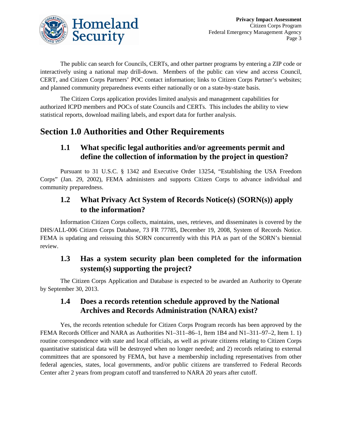

The public can search for Councils, CERTs, and other partner programs by entering a ZIP code or interactively using a national map drill-down. Members of the public can view and access Council, CERT, and Citizen Corps Partners' POC contact information; links to Citizen Corps Partner's websites; and planned community preparedness events either nationally or on a state-by-state basis.

The Citizen Corps application provides limited analysis and management capabilities for authorized ICPD members and POCs of state Councils and CERTs. This includes the ability to view statistical reports, download mailing labels, and export data for further analysis.

### **Section 1.0 Authorities and Other Requirements**

### **1.1 What specific legal authorities and/or agreements permit and define the collection of information by the project in question?**

Pursuant to 31 U.S.C. § 1342 and Executive Order 13254, "Establishing the USA Freedom Corps" (Jan. 29, 2002), FEMA administers and supports Citizen Corps to advance individual and community preparedness.

### **1.2 What Privacy Act System of Records Notice(s) (SORN(s)) apply to the information?**

Information Citizen Corps collects, maintains, uses, retrieves, and disseminates is covered by the DHS/ALL-006 Citizen Corps Database, 73 FR 77785, December 19, 2008, System of Records Notice. FEMA is updating and reissuing this SORN concurrently with this PIA as part of the SORN's biennial review.

### **1.3 Has a system security plan been completed for the information system(s) supporting the project?**

The Citizen Corps Application and Database is expected to be awarded an Authority to Operate by September 30, 2013.

### **1.4 Does a records retention schedule approved by the National Archives and Records Administration (NARA) exist?**

Yes, the records retention schedule for Citizen Corps Program records has been approved by the FEMA Records Officer and NARA as Authorities N1–311–86–1, Item 1B4 and N1–311–97–2, Item 1. 1) routine correspondence with state and local officials, as well as private citizens relating to Citizen Corps quantitative statistical data will be destroyed when no longer needed; and 2) records relating to external committees that are sponsored by FEMA, but have a membership including representatives from other federal agencies, states, local governments, and/or public citizens are transferred to Federal Records Center after 2 years from program cutoff and transferred to NARA 20 years after cutoff.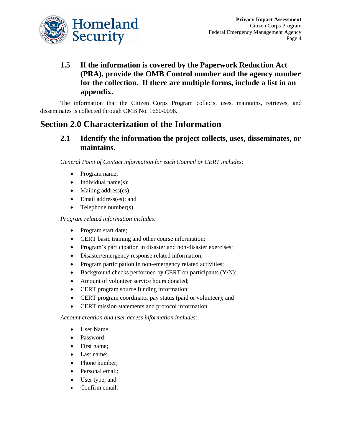

### **1.5 If the information is covered by the Paperwork Reduction Act (PRA), provide the OMB Control number and the agency number for the collection. If there are multiple forms, include a list in an appendix.**

The information that the Citizen Corps Program collects, uses, maintains, retrieves, and disseminates is collected through OMB No. 1660-0098.

### **Section 2.0 Characterization of the Information**

#### **2.1 Identify the information the project collects, uses, disseminates, or maintains.**

*General Point of Contact information for each Council or CERT includes:*

- Program name;
- Individual name(s);
- Mailing address(es);
- Email address(es); and
- Telephone number(s).

*Program related information includes:*

- Program start date;
- CERT basic training and other course information;
- Program's participation in disaster and non-disaster exercises;
- Disaster/emergency response related information;
- Program participation in non-emergency related activities;
- Background checks performed by CERT on participants (Y/N);
- Amount of volunteer service hours donated:
- CERT program source funding information;
- CERT program coordinator pay status (paid or volunteer); and
- CERT mission statements and protocol information.

*Account creation and user access information includes:*

- User Name;
- Password;
- First name;
- Last name;
- Phone number:
- Personal email;
- User type; and
- Confirm email.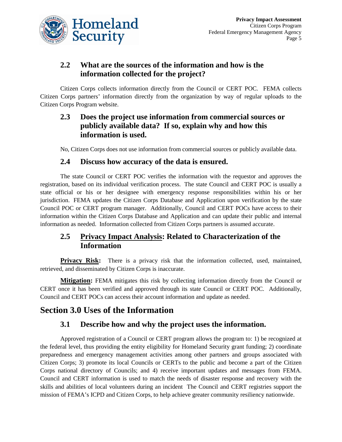

### **2.2 What are the sources of the information and how is the information collected for the project?**

Citizen Corps collects information directly from the Council or CERT POC. FEMA collects Citizen Corps partners' information directly from the organization by way of regular uploads to the Citizen Corps Program website.

#### **2.3 Does the project use information from commercial sources or publicly available data? If so, explain why and how this information is used.**

No, Citizen Corps does not use information from commercial sources or publicly available data.

#### **2.4 Discuss how accuracy of the data is ensured.**

The state Council or CERT POC verifies the information with the requestor and approves the registration, based on its individual verification process. The state Council and CERT POC is usually a state official or his or her designee with emergency response responsibilities within his or her jurisdiction. FEMA updates the Citizen Corps Database and Application upon verification by the state Council POC or CERT program manager. Additionally, Council and CERT POCs have access to their information within the Citizen Corps Database and Application and can update their public and internal information as needed. Information collected from Citizen Corps partners is assumed accurate.

#### **2.5 Privacy Impact Analysis: Related to Characterization of the Information**

**Privacy Risk:** There is a privacy risk that the information collected, used, maintained, retrieved, and disseminated by Citizen Corps is inaccurate.

**Mitigation:** FEMA mitigates this risk by collecting information directly from the Council or CERT once it has been verified and approved through its state Council or CERT POC. Additionally, Council and CERT POCs can access their account information and update as needed.

### **Section 3.0 Uses of the Information**

#### **3.1 Describe how and why the project uses the information.**

Approved registration of a Council or CERT program allows the program to: 1) be recognized at the federal level, thus providing the entity eligibility for Homeland Security grant funding; 2) coordinate preparedness and emergency management activities among other partners and groups associated with Citizen Corps; 3) promote its local Councils or CERTs to the public and become a part of the Citizen Corps national directory of Councils; and 4) receive important updates and messages from FEMA. Council and CERT information is used to match the needs of disaster response and recovery with the skills and abilities of local volunteers during an incident The Council and CERT registries support the mission of FEMA's ICPD and Citizen Corps, to help achieve greater community resiliency nationwide.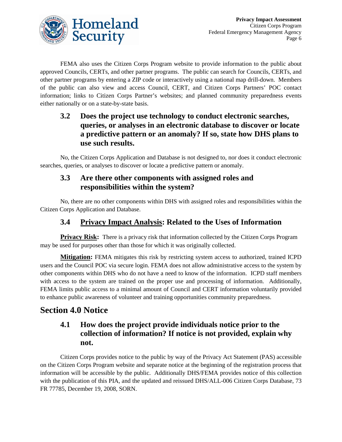

FEMA also uses the Citizen Corps Program website to provide information to the public about approved Councils, CERTs, and other partner programs. The public can search for Councils, CERTs, and other partner programs by entering a ZIP code or interactively using a national map drill-down. Members of the public can also view and access Council, CERT, and Citizen Corps Partners' POC contact information; links to Citizen Corps Partner's websites; and planned community preparedness events either nationally or on a state-by-state basis.

### **3.2 Does the project use technology to conduct electronic searches, queries, or analyses in an electronic database to discover or locate a predictive pattern or an anomaly? If so, state how DHS plans to use such results.**

No, the Citizen Corps Application and Database is not designed to, nor does it conduct electronic searches, queries, or analyses to discover or locate a predictive pattern or anomaly.

#### **3.3 Are there other components with assigned roles and responsibilities within the system?**

No, there are no other components within DHS with assigned roles and responsibilities within the Citizen Corps Application and Database.

#### **3.4 Privacy Impact Analysis: Related to the Uses of Information**

**Privacy Risk:** There is a privacy risk that information collected by the Citizen Corps Program may be used for purposes other than those for which it was originally collected.

**Mitigation:** FEMA mitigates this risk by restricting system access to authorized, trained ICPD users and the Council POC via secure login. FEMA does not allow administrative access to the system by other components within DHS who do not have a need to know of the information. ICPD staff members with access to the system are trained on the proper use and processing of information. Additionally, FEMA limits public access to a minimal amount of Council and CERT information voluntarily provided to enhance public awareness of volunteer and training opportunities community preparedness.

### **Section 4.0 Notice**

### **4.1 How does the project provide individuals notice prior to the collection of information? If notice is not provided, explain why not.**

Citizen Corps provides notice to the public by way of the Privacy Act Statement (PAS) accessible on the Citizen Corps Program website and separate notice at the beginning of the registration process that information will be accessible by the public. Additionally DHS/FEMA provides notice of this collection with the publication of this PIA, and the updated and reissued DHS/ALL-006 Citizen Corps Database, 73 FR 77785, December 19, 2008, SORN.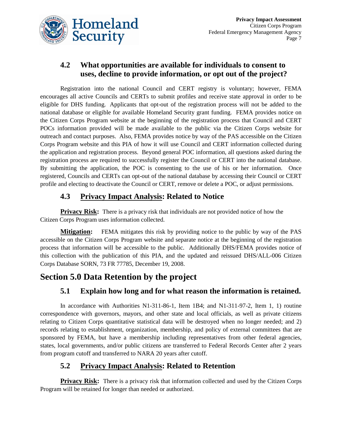

### **4.2 What opportunities are available for individuals to consent to uses, decline to provide information, or opt out of the project?**

Registration into the national Council and CERT registry is voluntary; however, FEMA encourages all active Councils and CERTs to submit profiles and receive state approval in order to be eligible for DHS funding. Applicants that opt-out of the registration process will not be added to the national database or eligible for available Homeland Security grant funding. FEMA provides notice on the Citizen Corps Program website at the beginning of the registration process that Council and CERT POCs information provided will be made available to the public via the Citizen Corps website for outreach and contact purposes. Also, FEMA provides notice by way of the PAS accessible on the Citizen Corps Program website and this PIA of how it will use Council and CERT information collected during the application and registration process. Beyond general POC information, all questions asked during the registration process are required to successfully register the Council or CERT into the national database. By submitting the application, the POC is consenting to the use of his or her information. Once registered, Councils and CERTs can opt-out of the national database by accessing their Council or CERT profile and electing to deactivate the Council or CERT, remove or delete a POC, or adjust permissions.

### **4.3 Privacy Impact Analysis: Related to Notice**

**Privacy Risk:** There is a privacy risk that individuals are not provided notice of how the Citizen Corps Program uses information collected.

**Mitigation:** FEMA mitigates this risk by providing notice to the public by way of the PAS accessible on the Citizen Corps Program website and separate notice at the beginning of the registration process that information will be accessible to the public. Additionally DHS/FEMA provides notice of this collection with the publication of this PIA, and the updated and reissued DHS/ALL-006 Citizen Corps Database SORN, 73 FR 77785, December 19, 2008.

### **Section 5.0 Data Retention by the project**

### **5.1 Explain how long and for what reason the information is retained.**

In accordance with Authorities N1-311-86-1, Item 1B4; and N1-311-97-2, Item 1, 1) routine correspondence with governors, mayors, and other state and local officials, as well as private citizens relating to Citizen Corps quantitative statistical data will be destroyed when no longer needed; and 2) records relating to establishment, organization, membership, and policy of external committees that are sponsored by FEMA, but have a membership including representatives from other federal agencies, states, local governments, and/or public citizens are transferred to Federal Records Center after 2 years from program cutoff and transferred to NARA 20 years after cutoff.

### **5.2 Privacy Impact Analysis: Related to Retention**

**Privacy Risk:** There is a privacy risk that information collected and used by the Citizen Corps Program will be retained for longer than needed or authorized.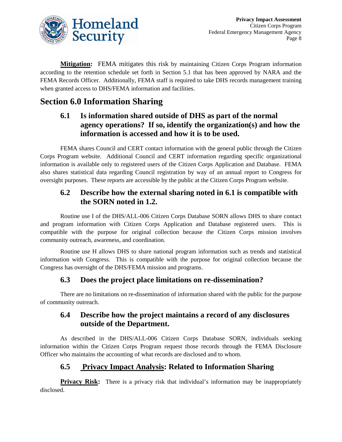

**Mitigation:** FEMA mitigates this risk by maintaining Citizen Corps Program information according to the retention schedule set forth in Section 5.1 that has been approved by NARA and the FEMA Records Officer. Additionally, FEMA staff is required to take DHS records management training when granted access to DHS/FEMA information and facilities.

### **Section 6.0 Information Sharing**

### **6.1 Is information shared outside of DHS as part of the normal agency operations? If so, identify the organization(s) and how the information is accessed and how it is to be used.**

FEMA shares Council and CERT contact information with the general public through the Citizen Corps Program website. Additional Council and CERT information regarding specific organizational information is available only to registered users of the Citizen Corps Application and Database. FEMA also shares statistical data regarding Council registration by way of an annual report to Congress for oversight purposes. These reports are accessible by the public at the Citizen Corps Program website.

#### **6.2 Describe how the external sharing noted in 6.1 is compatible with the SORN noted in 1.2.**

Routine use I of the DHS/ALL-006 Citizen Corps Database SORN allows DHS to share contact and program information with Citizen Corps Application and Database registered users. This is compatible with the purpose for original collection because the Citizen Corps mission involves community outreach, awareness, and coordination.

Routine use H allows DHS to share national program information such as trends and statistical information with Congress. This is compatible with the purpose for original collection because the Congress has oversight of the DHS/FEMA mission and programs.

#### **6.3 Does the project place limitations on re-dissemination?**

There are no limitations on re-dissemination of information shared with the public for the purpose of community outreach.

### **6.4 Describe how the project maintains a record of any disclosures outside of the Department.**

As described in the DHS/ALL-006 Citizen Corps Database SORN, individuals seeking information within the Citizen Corps Program request those records through the FEMA Disclosure Officer who maintains the accounting of what records are disclosed and to whom.

### **6.5 Privacy Impact Analysis: Related to Information Sharing**

**Privacy Risk:** There is a privacy risk that individual's information may be inappropriately disclosed.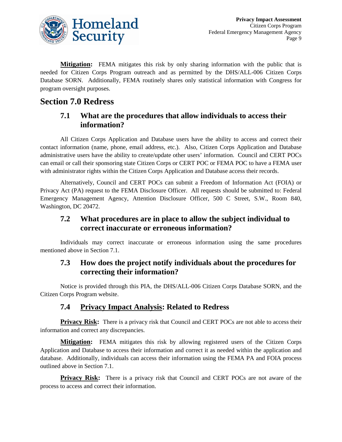

**Mitigation:** FEMA mitigates this risk by only sharing information with the public that is needed for Citizen Corps Program outreach and as permitted by the DHS/ALL-006 Citizen Corps Database SORN. Additionally, FEMA routinely shares only statistical information with Congress for program oversight purposes.

### **Section 7.0 Redress**

#### **7.1 What are the procedures that allow individuals to access their information?**

All Citizen Corps Application and Database users have the ability to access and correct their contact information (name, phone, email address, etc.). Also, Citizen Corps Application and Database administrative users have the ability to create/update other users' information. Council and CERT POCs can email or call their sponsoring state Citizen Corps or CERT POC or FEMA POC to have a FEMA user with administrator rights within the Citizen Corps Application and Database access their records.

Alternatively, Council and CERT POCs can submit a Freedom of Information Act (FOIA) or Privacy Act (PA) request to the FEMA Disclosure Officer. All requests should be submitted to: Federal Emergency Management Agency, Attention Disclosure Officer, 500 C Street, S.W., Room 840, Washington, DC 20472.

### **7.2 What procedures are in place to allow the subject individual to correct inaccurate or erroneous information?**

Individuals may correct inaccurate or erroneous information using the same procedures mentioned above in Section 7.1.

### **7.3 How does the project notify individuals about the procedures for correcting their information?**

Notice is provided through this PIA, the DHS/ALL-006 Citizen Corps Database SORN, and the Citizen Corps Program website.

### **7.4 Privacy Impact Analysis: Related to Redress**

**Privacy Risk:** There is a privacy risk that Council and CERT POCs are not able to access their information and correct any discrepancies.

**Mitigation:** FEMA mitigates this risk by allowing registered users of the Citizen Corps Application and Database to access their information and correct it as needed within the application and database. Additionally, individuals can access their information using the FEMA PA and FOIA process outlined above in Section 7.1.

**Privacy Risk:** There is a privacy risk that Council and CERT POCs are not aware of the process to access and correct their information.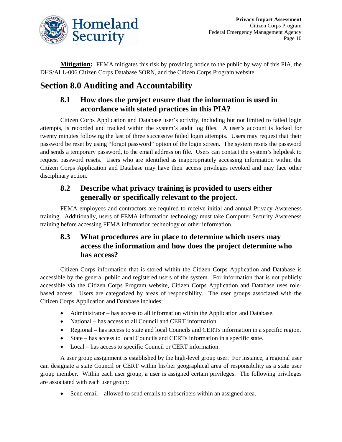

**Mitigation:** FEMA mitigates this risk by providing notice to the public by way of this PIA, the DHS/ALL-006 Citizen Corps Database SORN, and the Citizen Corps Program website.

### **Section 8.0 Auditing and Accountability**

### **8.1 How does the project ensure that the information is used in accordance with stated practices in this PIA?**

Citizen Corps Application and Database user's activity, including but not limited to failed login attempts, is recorded and tracked within the system's audit log files. A user's account is locked for twenty minutes following the last of three successive failed login attempts. Users may request that their password be reset by using "forgot password" option of the login screen. The system resets the password and sends a temporary password, to the email address on file. Users can contact the system's helpdesk to request password resets. Users who are identified as inappropriately accessing information within the Citizen Corps Application and Database may have their access privileges revoked and may face other disciplinary action.

### **8.2 Describe what privacy training is provided to users either generally or specifically relevant to the project.**

FEMA employees and contractors are required to receive initial and annual Privacy Awareness training. Additionally, users of FEMA information technology must take Computer Security Awareness training before accessing FEMA information technology or other information.

### **8.3 What procedures are in place to determine which users may access the information and how does the project determine who has access?**

Citizen Corps information that is stored within the Citizen Corps Application and Database is accessible by the general public and registered users of the system. For information that is not publicly accessible via the Citizen Corps Program website, Citizen Corps Application and Database uses rolebased access. Users are categorized by areas of responsibility. The user groups associated with the Citizen Corps Application and Database includes:

- Administrator has access to all information within the Application and Database.
- National has access to all Council and CERT information.
- Regional has access to state and local Councils and CERTs information in a specific region.
- State has access to local Councils and CERTs information in a specific state.
- Local has access to specific Council or CERT information.

A user group assignment is established by the high-level group user. For instance, a regional user can designate a state Council or CERT within his/her geographical area of responsibility as a state user group member. Within each user group, a user is assigned certain privileges. The following privileges are associated with each user group:

• Send email – allowed to send emails to subscribers within an assigned area.